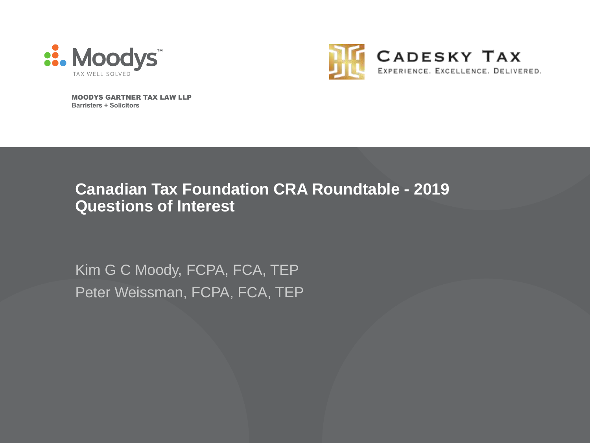



MOODYS GARTNER TAX LAW LLP **Barristers + Solicitors**

### **Canadian Tax Foundation CRA Roundtable - 2019 Questions of Interest**

Kim G C Moody, FCPA, FCA, TEP Peter Weissman, FCPA, FCA, TEP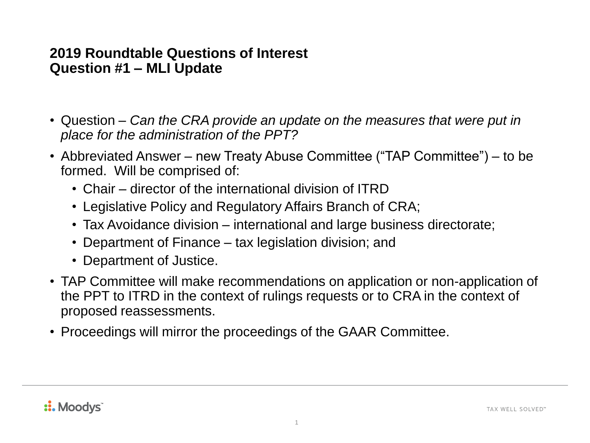#### **2019 Roundtable Questions of Interest Question #1 – MLI Update**

- Question *Can the CRA provide an update on the measures that were put in place for the administration of the PPT?*
- Abbreviated Answer new Treaty Abuse Committee ("TAP Committee") to be formed. Will be comprised of:
	- Chair director of the international division of ITRD
	- Legislative Policy and Regulatory Affairs Branch of CRA;
	- Tax Avoidance division international and large business directorate;
	- Department of Finance tax legislation division; and
	- Department of Justice.
- TAP Committee will make recommendations on application or non-application of the PPT to ITRD in the context of rulings requests or to CRA in the context of proposed reassessments.
- Proceedings will mirror the proceedings of the GAAR Committee.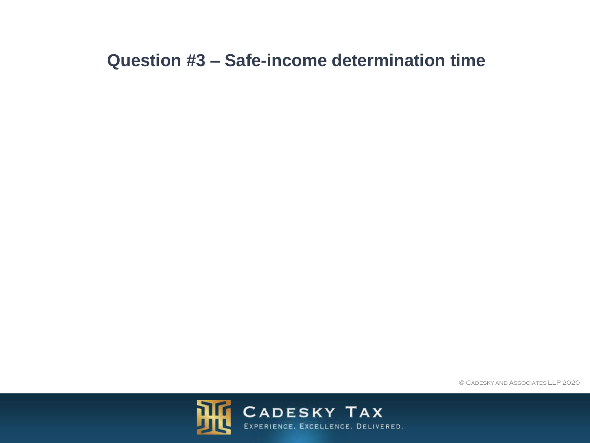## **Question #3 – Safe-income determination time**

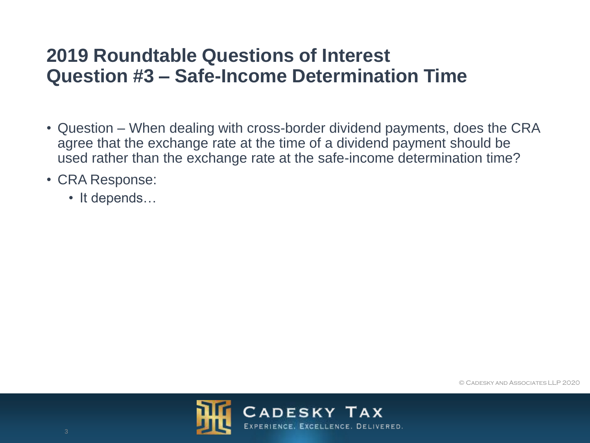- Question When dealing with cross-border dividend payments, does the CRA agree that the exchange rate at the time of a dividend payment should be used rather than the exchange rate at the safe-income determination time?
- CRA Response:
	- It depends…

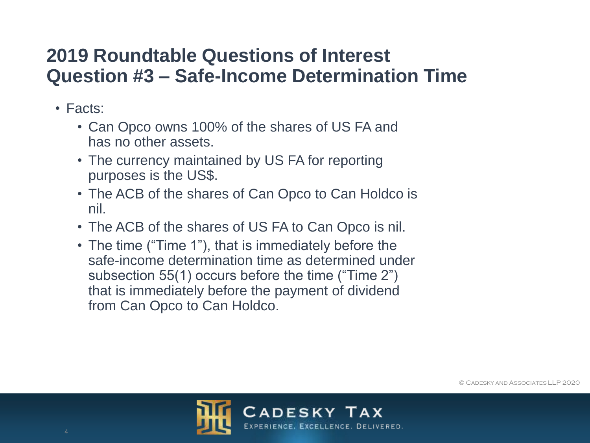- Facts:
	- Can Opco owns 100% of the shares of US FA and has no other assets.
	- The currency maintained by US FA for reporting purposes is the US\$.
	- The ACB of the shares of Can Opco to Can Holdco is nil.
	- The ACB of the shares of US FA to Can Opco is nil.
	- The time ("Time 1"), that is immediately before the safe-income determination time as determined under subsection 55(1) occurs before the time ("Time 2") that is immediately before the payment of dividend from Can Opco to Can Holdco.

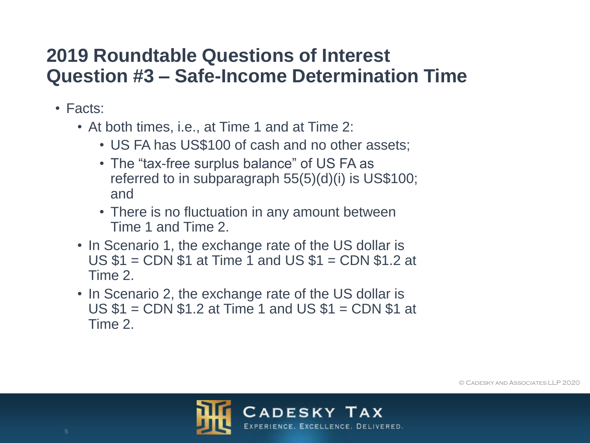- Facts:
	- At both times, i.e., at Time 1 and at Time 2:
		- US FA has US\$100 of cash and no other assets;
		- The "tax-free surplus balance" of US FA as referred to in subparagraph 55(5)(d)(i) is US\$100; and
		- There is no fluctuation in any amount between Time 1 and Time 2.
	- In Scenario 1, the exchange rate of the US dollar is US \$1 = CDN \$1 at Time 1 and US \$1 = CDN \$1.2 at Time 2.
	- In Scenario 2, the exchange rate of the US dollar is US \$1 = CDN \$1.2 at Time 1 and US \$1 = CDN \$1 at Time 2.



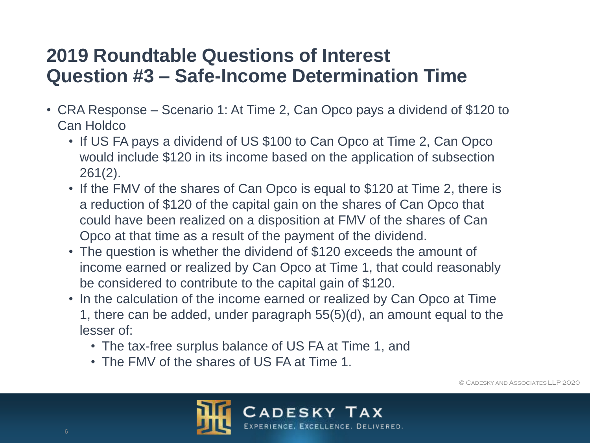- CRA Response Scenario 1: At Time 2, Can Opco pays a dividend of \$120 to Can Holdco
	- If US FA pays a dividend of US \$100 to Can Opco at Time 2, Can Opco would include \$120 in its income based on the application of subsection 261(2).
	- If the FMV of the shares of Can Opco is equal to \$120 at Time 2, there is a reduction of \$120 of the capital gain on the shares of Can Opco that could have been realized on a disposition at FMV of the shares of Can Opco at that time as a result of the payment of the dividend.
	- The question is whether the dividend of \$120 exceeds the amount of income earned or realized by Can Opco at Time 1, that could reasonably be considered to contribute to the capital gain of \$120.
	- In the calculation of the income earned or realized by Can Opco at Time 1, there can be added, under paragraph 55(5)(d), an amount equal to the lesser of:
		- The tax-free surplus balance of US FA at Time 1, and
		- The FMV of the shares of US FA at Time 1.

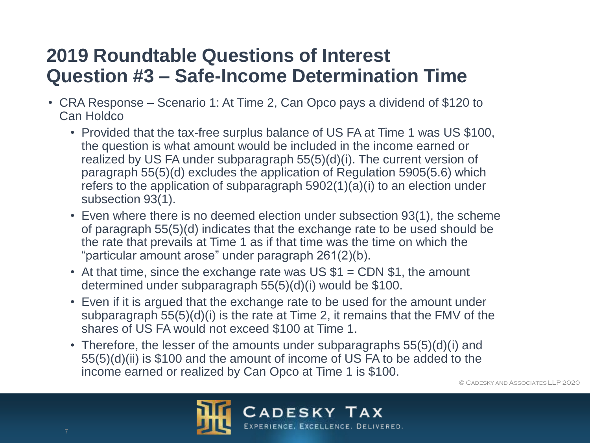- CRA Response Scenario 1: At Time 2, Can Opco pays a dividend of \$120 to Can Holdco
	- Provided that the tax-free surplus balance of US FA at Time 1 was US \$100, the question is what amount would be included in the income earned or realized by US FA under subparagraph 55(5)(d)(i). The current version of paragraph 55(5)(d) excludes the application of Regulation 5905(5.6) which refers to the application of subparagraph 5902(1)(a)(i) to an election under subsection 93(1).
	- Even where there is no deemed election under subsection 93(1), the scheme of paragraph 55(5)(d) indicates that the exchange rate to be used should be the rate that prevails at Time 1 as if that time was the time on which the "particular amount arose" under paragraph 261(2)(b).
	- At that time, since the exchange rate was US  $$1 =$  CDN  $$1$ , the amount determined under subparagraph 55(5)(d)(i) would be \$100.
	- Even if it is argued that the exchange rate to be used for the amount under subparagraph 55(5)(d)(i) is the rate at Time 2, it remains that the FMV of the shares of US FA would not exceed \$100 at Time 1.
	- Therefore, the lesser of the amounts under subparagraphs 55(5)(d)(i) and 55(5)(d)(ii) is \$100 and the amount of income of US FA to be added to the income earned or realized by Can Opco at Time 1 is \$100.

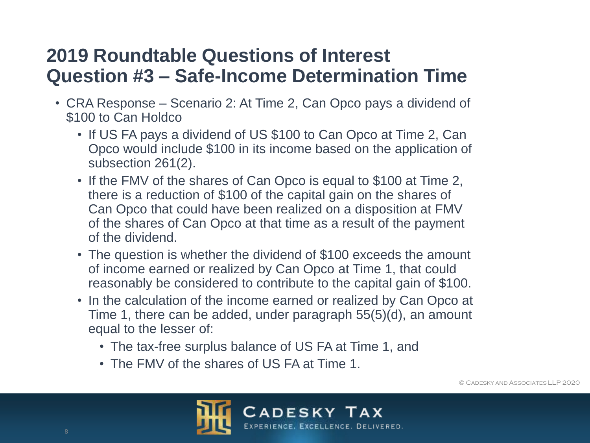- CRA Response Scenario 2: At Time 2, Can Opco pays a dividend of \$100 to Can Holdco
	- If US FA pays a dividend of US \$100 to Can Opco at Time 2, Can Opco would include \$100 in its income based on the application of subsection 261(2).
	- If the FMV of the shares of Can Opco is equal to \$100 at Time 2, there is a reduction of \$100 of the capital gain on the shares of Can Opco that could have been realized on a disposition at FMV of the shares of Can Opco at that time as a result of the payment of the dividend.
	- The question is whether the dividend of \$100 exceeds the amount of income earned or realized by Can Opco at Time 1, that could reasonably be considered to contribute to the capital gain of \$100.
	- In the calculation of the income earned or realized by Can Opco at Time 1, there can be added, under paragraph 55(5)(d), an amount equal to the lesser of:
		- The tax-free surplus balance of US FA at Time 1, and
		- The FMV of the shares of US FA at Time 1.

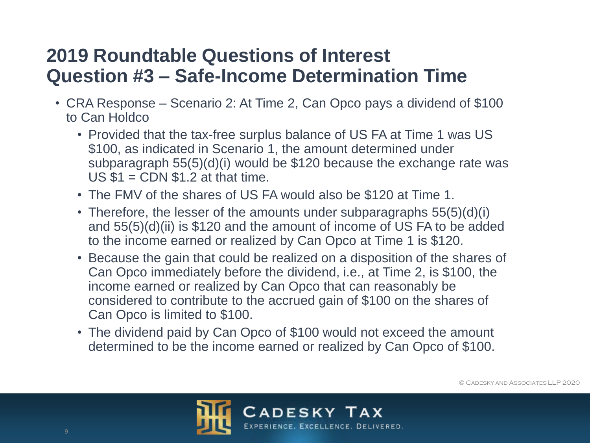- CRA Response Scenario 2: At Time 2, Can Opco pays a dividend of \$100 to Can Holdco
	- Provided that the tax-free surplus balance of US FA at Time 1 was US \$100, as indicated in Scenario 1, the amount determined under subparagraph 55(5)(d)(i) would be \$120 because the exchange rate was  $US $1 = CDN $1.2$  at that time.
	- The FMV of the shares of US FA would also be \$120 at Time 1.
	- Therefore, the lesser of the amounts under subparagraphs 55(5)(d)(i) and 55(5)(d)(ii) is \$120 and the amount of income of US FA to be added to the income earned or realized by Can Opco at Time 1 is \$120.
	- Because the gain that could be realized on a disposition of the shares of Can Opco immediately before the dividend, i.e., at Time 2, is \$100, the income earned or realized by Can Opco that can reasonably be considered to contribute to the accrued gain of \$100 on the shares of Can Opco is limited to \$100.
	- The dividend paid by Can Opco of \$100 would not exceed the amount determined to be the income earned or realized by Can Opco of \$100.

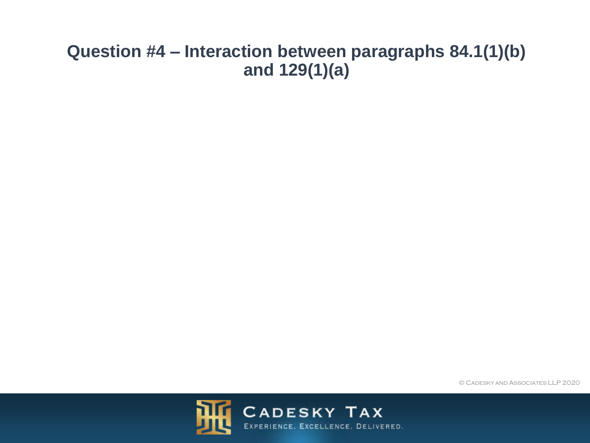## **Question #4 – Interaction between paragraphs 84.1(1)(b) and 129(1)(a)**

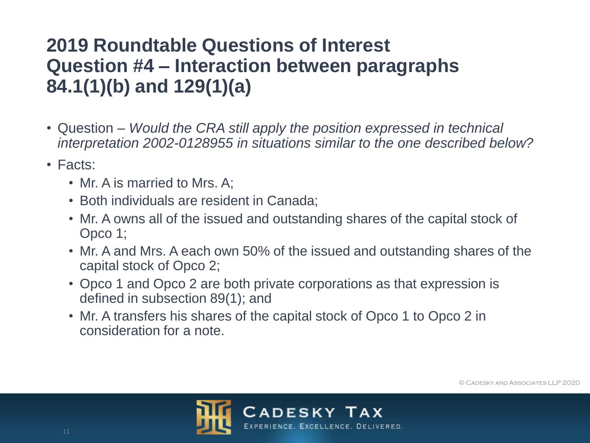# **2019 Roundtable Questions of Interest Question #4 – Interaction between paragraphs 84.1(1)(b) and 129(1)(a)**

- Question *Would the CRA still apply the position expressed in technical interpretation 2002-0128955 in situations similar to the one described below?*
- Facts:
	- Mr. A is married to Mrs. A;
	- Both individuals are resident in Canada;
	- Mr. A owns all of the issued and outstanding shares of the capital stock of Opco 1;
	- Mr. A and Mrs. A each own 50% of the issued and outstanding shares of the capital stock of Opco 2;
	- Opco 1 and Opco 2 are both private corporations as that expression is defined in subsection 89(1); and
	- Mr. A transfers his shares of the capital stock of Opco 1 to Opco 2 in consideration for a note.



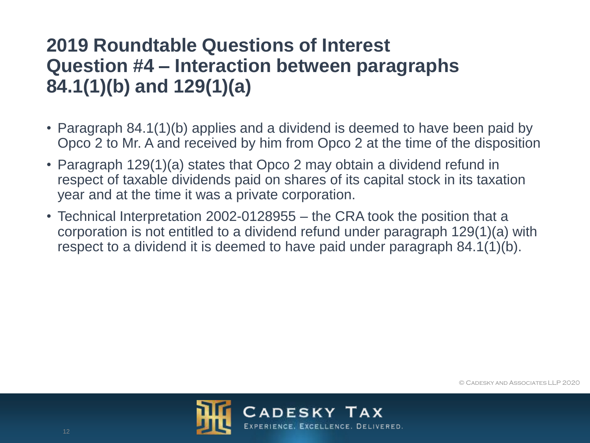# **2019 Roundtable Questions of Interest Question #4 – Interaction between paragraphs 84.1(1)(b) and 129(1)(a)**

- Paragraph 84.1(1)(b) applies and a dividend is deemed to have been paid by Opco 2 to Mr. A and received by him from Opco 2 at the time of the disposition
- Paragraph 129(1)(a) states that Opco 2 may obtain a dividend refund in respect of taxable dividends paid on shares of its capital stock in its taxation year and at the time it was a private corporation.
- Technical Interpretation 2002-0128955 the CRA took the position that a corporation is not entitled to a dividend refund under paragraph 129(1)(a) with respect to a dividend it is deemed to have paid under paragraph 84.1(1)(b).

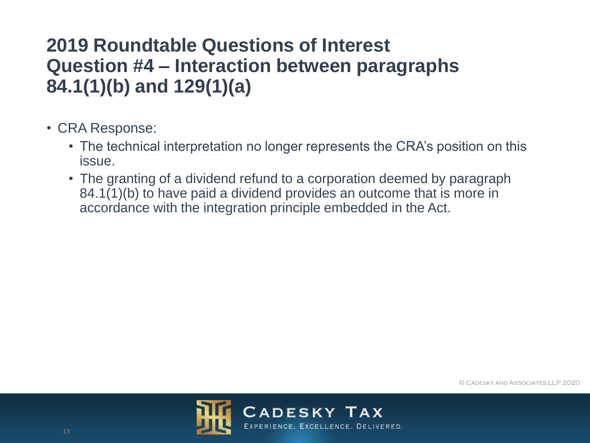# **2019 Roundtable Questions of Interest Question #4 – Interaction between paragraphs 84.1(1)(b) and 129(1)(a)**

- CRA Response:
	- The technical interpretation no longer represents the CRA's position on this issue.
	- The granting of a dividend refund to a corporation deemed by paragraph 84.1(1)(b) to have paid a dividend provides an outcome that is more in accordance with the integration principle embedded in the Act.



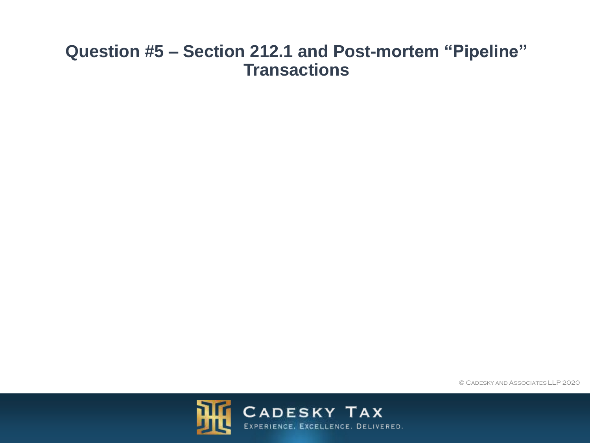### **Question #5 – Section 212.1 and Post-mortem "Pipeline" Transactions**

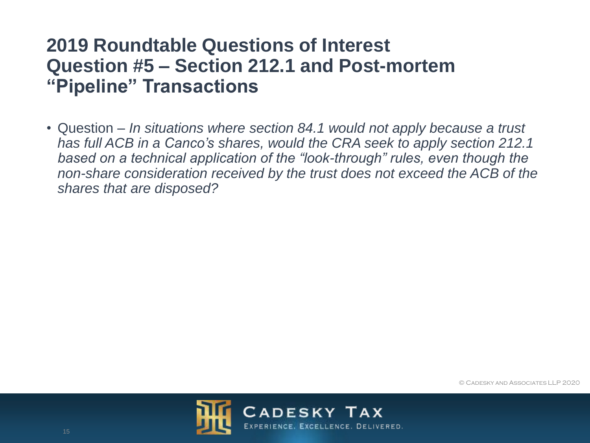# **2019 Roundtable Questions of Interest Question #5 – Section 212.1 and Post-mortem "Pipeline" Transactions**

• Question – *In situations where section 84.1 would not apply because a trust has full ACB in a Canco's shares, would the CRA seek to apply section 212.1 based on a technical application of the "look-through" rules, even though the non-share consideration received by the trust does not exceed the ACB of the shares that are disposed?*



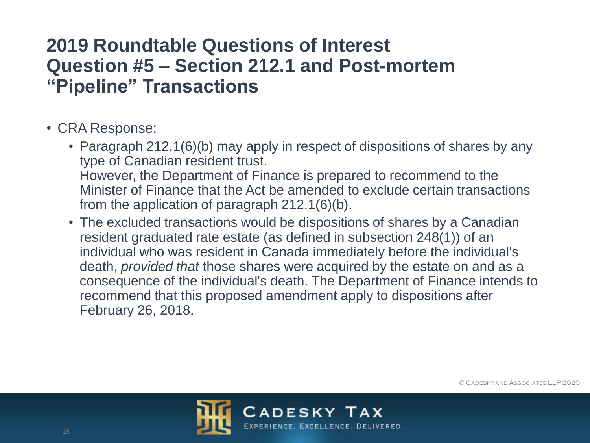# **2019 Roundtable Questions of Interest Question #5 – Section 212.1 and Post-mortem "Pipeline" Transactions**

- CRA Response:
	- Paragraph 212.1(6)(b) may apply in respect of dispositions of shares by any type of Canadian resident trust. However, the Department of Finance is prepared to recommend to the Minister of Finance that the Act be amended to exclude certain transactions from the application of paragraph 212.1(6)(b).
	- The excluded transactions would be dispositions of shares by a Canadian resident graduated rate estate (as defined in subsection 248(1)) of an individual who was resident in Canada immediately before the individual's death, *provided that* those shares were acquired by the estate on and as a consequence of the individual's death. The Department of Finance intends to recommend that this proposed amendment apply to dispositions after February 26, 2018.

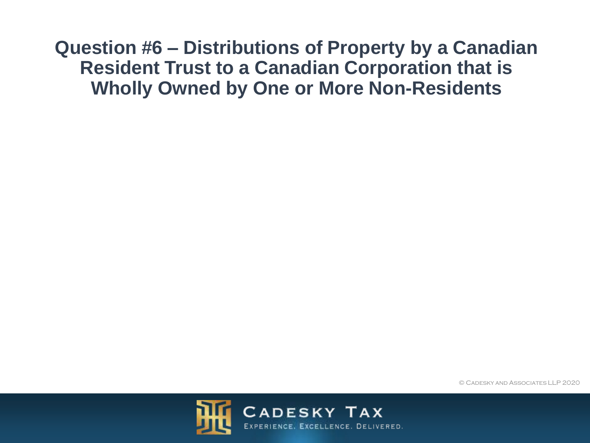**Question #6 – Distributions of Property by a Canadian Resident Trust to a Canadian Corporation that is Wholly Owned by One or More Non-Residents**



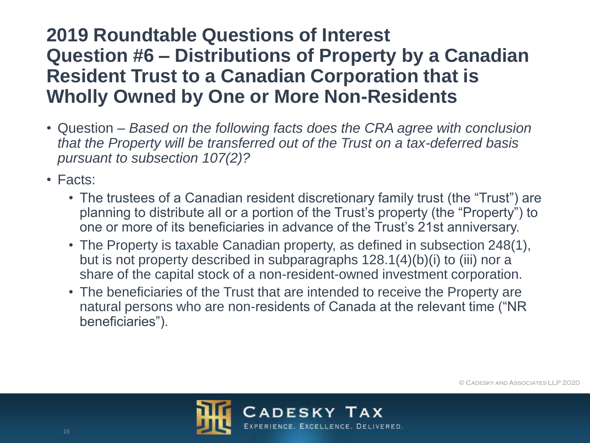- Question *Based on the following facts does the CRA agree with conclusion that the Property will be transferred out of the Trust on a tax-deferred basis pursuant to subsection 107(2)?*
- Facts:
	- The trustees of a Canadian resident discretionary family trust (the "Trust") are planning to distribute all or a portion of the Trust's property (the "Property") to one or more of its beneficiaries in advance of the Trust's 21st anniversary.
	- The Property is taxable Canadian property, as defined in subsection 248(1), but is not property described in subparagraphs 128.1(4)(b)(i) to (iii) nor a share of the capital stock of a non-resident-owned investment corporation.
	- The beneficiaries of the Trust that are intended to receive the Property are natural persons who are non-residents of Canada at the relevant time ("NR beneficiaries").

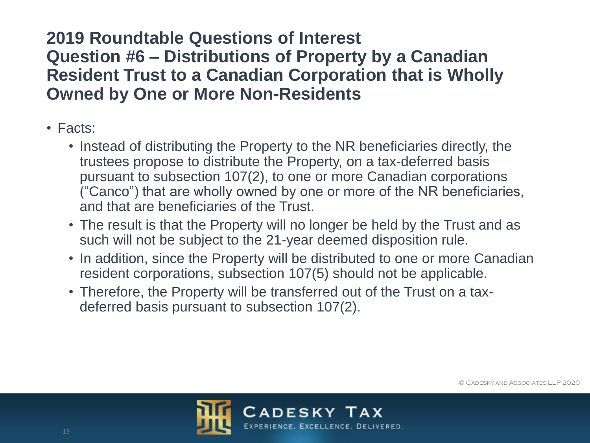- Facts:
	- Instead of distributing the Property to the NR beneficiaries directly, the trustees propose to distribute the Property, on a tax-deferred basis pursuant to subsection 107(2), to one or more Canadian corporations ("Canco") that are wholly owned by one or more of the NR beneficiaries, and that are beneficiaries of the Trust.
	- The result is that the Property will no longer be held by the Trust and as such will not be subject to the 21-year deemed disposition rule.
	- In addition, since the Property will be distributed to one or more Canadian resident corporations, subsection 107(5) should not be applicable.
	- Therefore, the Property will be transferred out of the Trust on a taxdeferred basis pursuant to subsection 107(2).

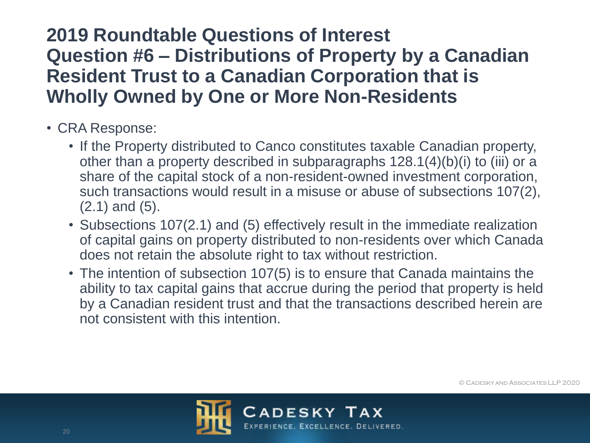- CRA Response:
	- If the Property distributed to Canco constitutes taxable Canadian property, other than a property described in subparagraphs 128.1(4)(b)(i) to (iii) or a share of the capital stock of a non-resident-owned investment corporation, such transactions would result in a misuse or abuse of subsections 107(2), (2.1) and (5).
	- Subsections 107(2.1) and (5) effectively result in the immediate realization of capital gains on property distributed to non-residents over which Canada does not retain the absolute right to tax without restriction.
	- The intention of subsection 107(5) is to ensure that Canada maintains the ability to tax capital gains that accrue during the period that property is held by a Canadian resident trust and that the transactions described herein are not consistent with this intention.

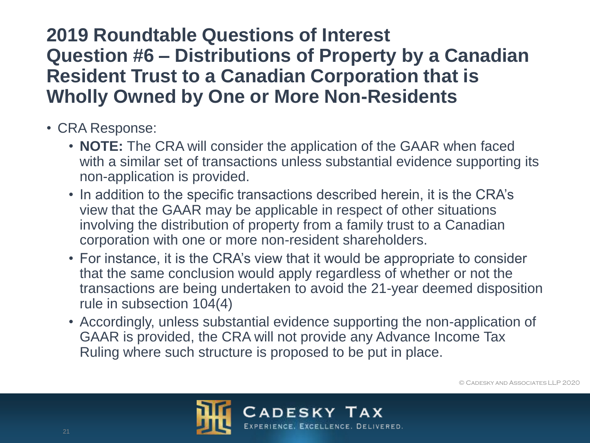- CRA Response:
	- **NOTE:** The CRA will consider the application of the GAAR when faced with a similar set of transactions unless substantial evidence supporting its non-application is provided.
	- In addition to the specific transactions described herein, it is the CRA's view that the GAAR may be applicable in respect of other situations involving the distribution of property from a family trust to a Canadian corporation with one or more non-resident shareholders.
	- For instance, it is the CRA's view that it would be appropriate to consider that the same conclusion would apply regardless of whether or not the transactions are being undertaken to avoid the 21-year deemed disposition rule in subsection 104(4)
	- Accordingly, unless substantial evidence supporting the non-application of GAAR is provided, the CRA will not provide any Advance Income Tax Ruling where such structure is proposed to be put in place.

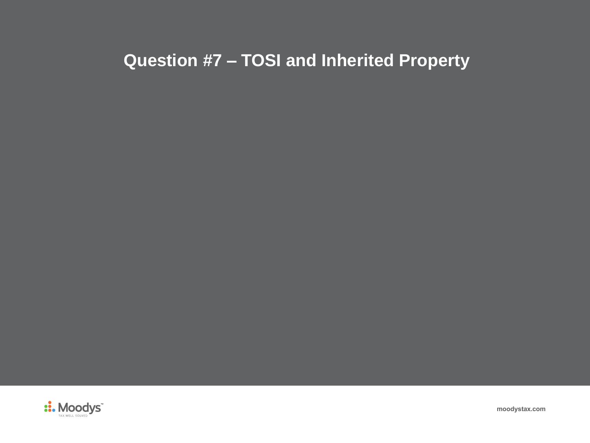# **Question #7 – TOSI and Inherited Property**



**moodystax.com**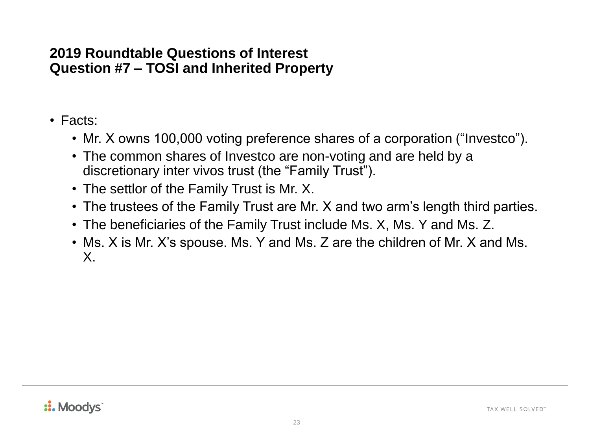- Facts:
	- Mr. X owns 100,000 voting preference shares of a corporation ("Investco").
	- The common shares of Investco are non-voting and are held by a discretionary inter vivos trust (the "Family Trust").
	- The settlor of the Family Trust is Mr. X.
	- The trustees of the Family Trust are Mr. X and two arm's length third parties.
	- The beneficiaries of the Family Trust include Ms. X, Ms. Y and Ms. Z.
	- Ms. X is Mr. X's spouse. Ms. Y and Ms. Z are the children of Mr. X and Ms. X.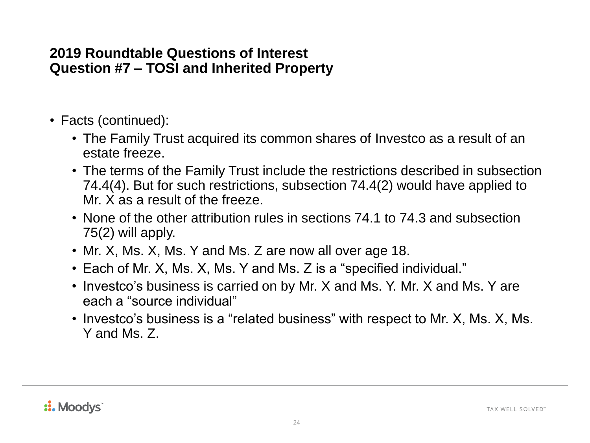- Facts (continued):
	- The Family Trust acquired its common shares of Investco as a result of an estate freeze.
	- The terms of the Family Trust include the restrictions described in subsection 74.4(4). But for such restrictions, subsection 74.4(2) would have applied to Mr. X as a result of the freeze.
	- None of the other attribution rules in sections 74.1 to 74.3 and subsection 75(2) will apply.
	- Mr. X, Ms. X, Ms. Y and Ms. Z are now all over age 18.
	- Each of Mr. X, Ms. X, Ms. Y and Ms. Z is a "specified individual."
	- Investco's business is carried on by Mr. X and Ms. Y. Mr. X and Ms. Y are each a "source individual"
	- Investco's business is a "related business" with respect to Mr. X, Ms. X, Ms. Y and Ms. Z.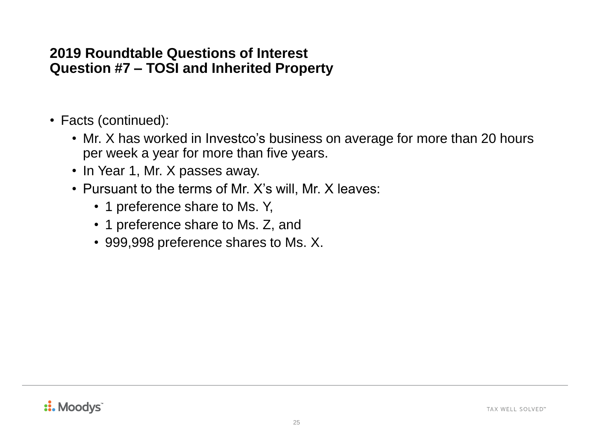- Facts (continued):
	- Mr. X has worked in Investco's business on average for more than 20 hours per week a year for more than five years.
	- In Year 1, Mr. X passes away.
	- Pursuant to the terms of Mr. X's will, Mr. X leaves:
		- 1 preference share to Ms. Y,
		- 1 preference share to Ms. Z, and
		- 999,998 preference shares to Ms. X.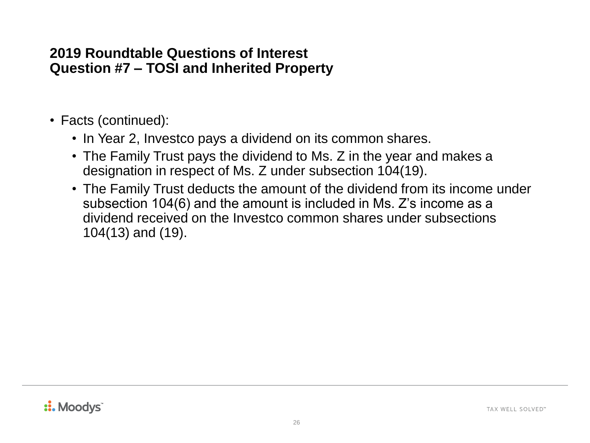- Facts (continued):
	- In Year 2, Investco pays a dividend on its common shares.
	- The Family Trust pays the dividend to Ms. Z in the year and makes a designation in respect of Ms. Z under subsection 104(19).
	- The Family Trust deducts the amount of the dividend from its income under subsection 104(6) and the amount is included in Ms. Z's income as a dividend received on the Investco common shares under subsections 104(13) and (19).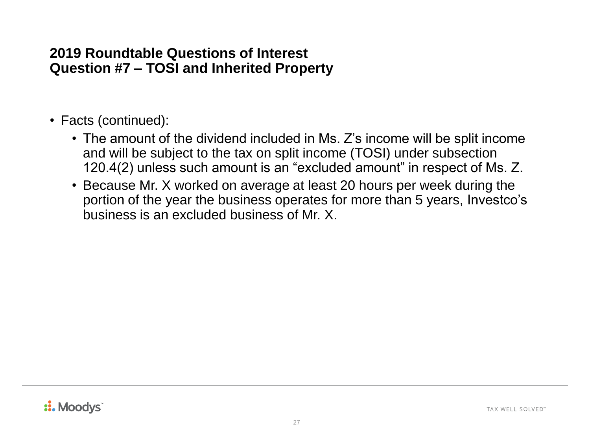- Facts (continued):
	- The amount of the dividend included in Ms. Z's income will be split income and will be subject to the tax on split income (TOSI) under subsection 120.4(2) unless such amount is an "excluded amount" in respect of Ms. Z.
	- Because Mr. X worked on average at least 20 hours per week during the portion of the year the business operates for more than 5 years, Investco's business is an excluded business of Mr. X.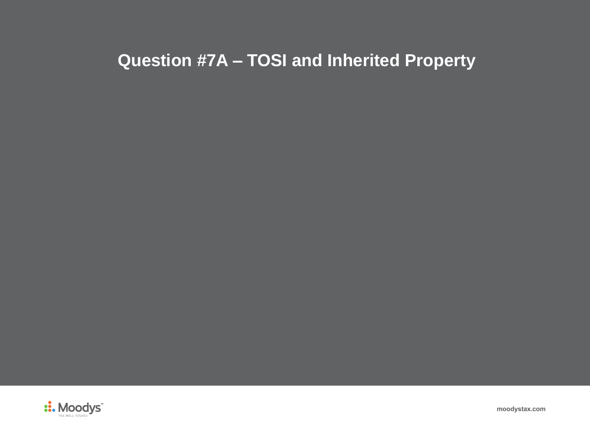# **Question #7A – TOSI and Inherited Property**



**moodystax.com**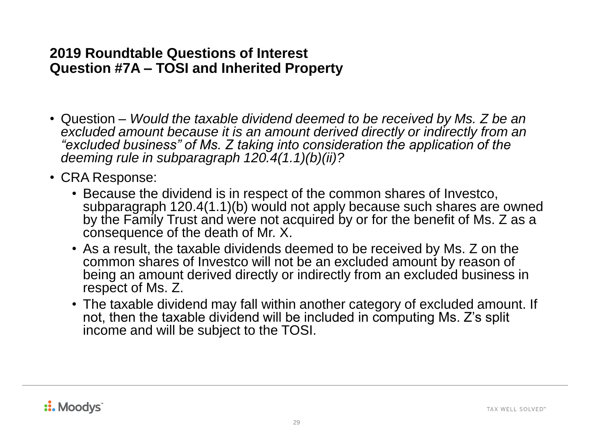- Question *Would the taxable dividend deemed to be received by Ms. Z be an excluded amount because it is an amount derived directly or indirectly from an "excluded business" of Ms. Z taking into consideration the application of the deeming rule in subparagraph 120.4(1.1)(b)(ii)?*
- CRA Response:
	- Because the dividend is in respect of the common shares of Investco, subparagraph 120.4(1.1)(b) would not apply because such shares are owned by the Family Trust and were not acquired by or for the benefit of Ms. Z as a consequence of the death of Mr. X.
	- As a result, the taxable dividends deemed to be received by Ms. Z on the common shares of Investco will not be an excluded amount by reason of being an amount derived directly or indirectly from an excluded business in respect of Ms. Z.
	- The taxable dividend may fall within another category of excluded amount. If not, then the taxable dividend will be included in computing Ms. Z's split income and will be subject to the TOSI.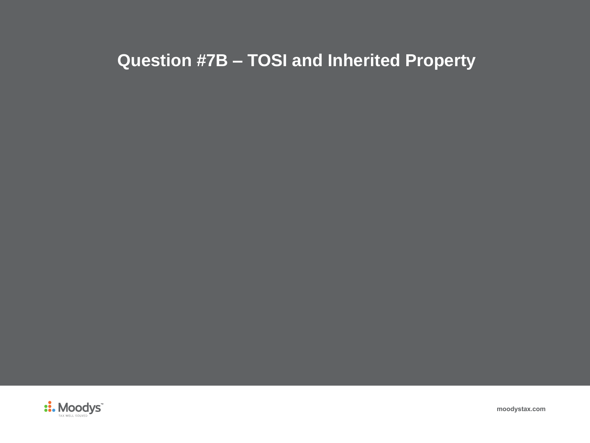# **Question #7B – TOSI and Inherited Property**



**moodystax.com**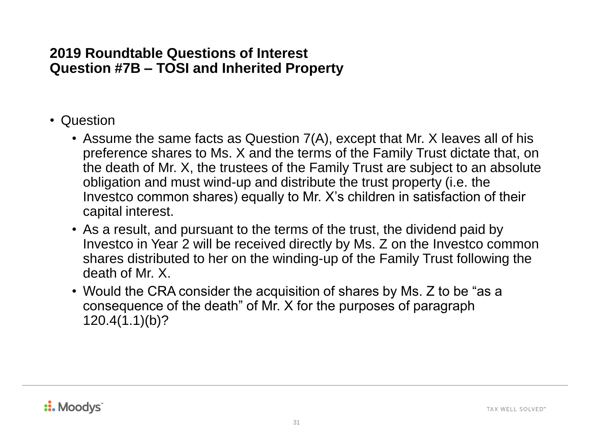- Question
	- Assume the same facts as Question 7(A), except that Mr. X leaves all of his preference shares to Ms. X and the terms of the Family Trust dictate that, on the death of Mr. X, the trustees of the Family Trust are subject to an absolute obligation and must wind-up and distribute the trust property (i.e. the Investco common shares) equally to Mr. X's children in satisfaction of their capital interest.
	- As a result, and pursuant to the terms of the trust, the dividend paid by Investco in Year 2 will be received directly by Ms. Z on the Investco common shares distributed to her on the winding-up of the Family Trust following the death of Mr. X.
	- Would the CRA consider the acquisition of shares by Ms. Z to be "as a consequence of the death" of Mr. X for the purposes of paragraph 120.4(1.1)(b)?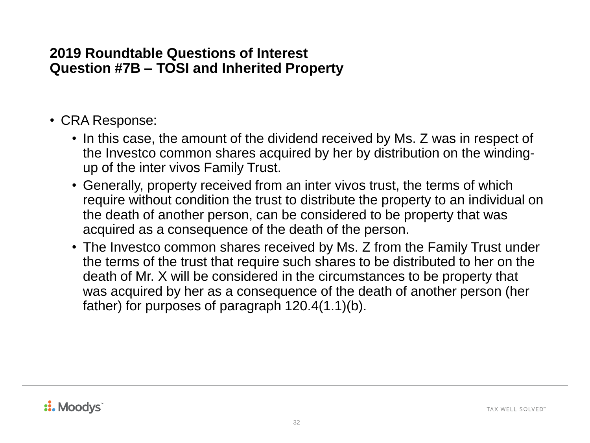- CRA Response:
	- In this case, the amount of the dividend received by Ms. Z was in respect of the Investco common shares acquired by her by distribution on the windingup of the inter vivos Family Trust.
	- Generally, property received from an inter vivos trust, the terms of which require without condition the trust to distribute the property to an individual on the death of another person, can be considered to be property that was acquired as a consequence of the death of the person.
	- The Investco common shares received by Ms. Z from the Family Trust under the terms of the trust that require such shares to be distributed to her on the death of Mr. X will be considered in the circumstances to be property that was acquired by her as a consequence of the death of another person (her father) for purposes of paragraph 120.4(1.1)(b).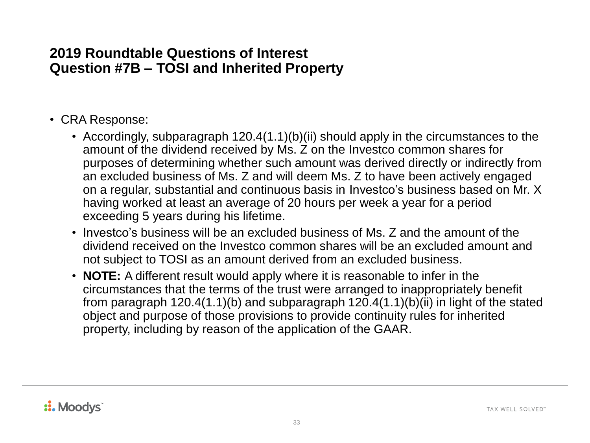- CRA Response:
	- Accordingly, subparagraph 120.4(1.1)(b)(ii) should apply in the circumstances to the amount of the dividend received by Ms. Z on the Investco common shares for purposes of determining whether such amount was derived directly or indirectly from an excluded business of Ms. Z and will deem Ms. Z to have been actively engaged on a regular, substantial and continuous basis in Investco's business based on Mr. X having worked at least an average of 20 hours per week a year for a period exceeding 5 years during his lifetime.
	- Investco's business will be an excluded business of Ms. Z and the amount of the dividend received on the Investco common shares will be an excluded amount and not subject to TOSI as an amount derived from an excluded business.
	- **NOTE:** A different result would apply where it is reasonable to infer in the circumstances that the terms of the trust were arranged to inappropriately benefit from paragraph 120.4(1.1)(b) and subparagraph 120.4(1.1)(b)(ii) in light of the stated object and purpose of those provisions to provide continuity rules for inherited property, including by reason of the application of the GAAR.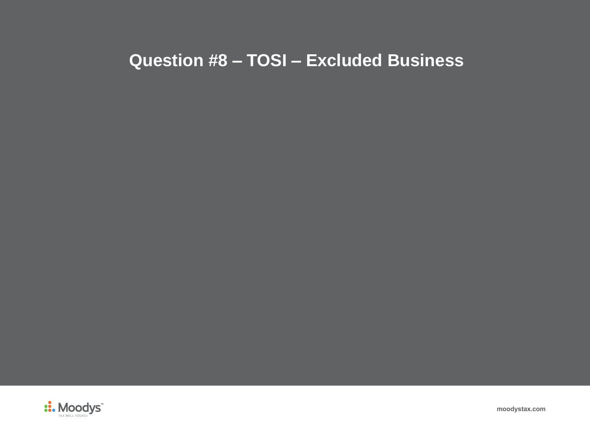## **Question #8 – TOSI – Excluded Business**



**moodystax.com**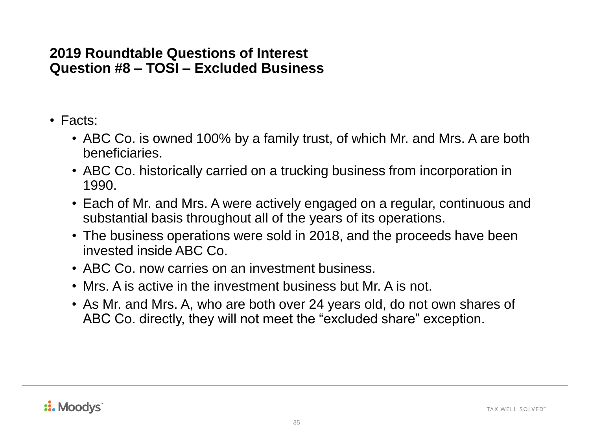- Facts:
	- ABC Co. is owned 100% by a family trust, of which Mr. and Mrs. A are both beneficiaries.
	- ABC Co. historically carried on a trucking business from incorporation in 1990.
	- Each of Mr. and Mrs. A were actively engaged on a regular, continuous and substantial basis throughout all of the years of its operations.
	- The business operations were sold in 2018, and the proceeds have been invested inside ABC Co.
	- ABC Co. now carries on an investment business.
	- Mrs. A is active in the investment business but Mr. A is not.
	- As Mr. and Mrs. A, who are both over 24 years old, do not own shares of ABC Co. directly, they will not meet the "excluded share" exception.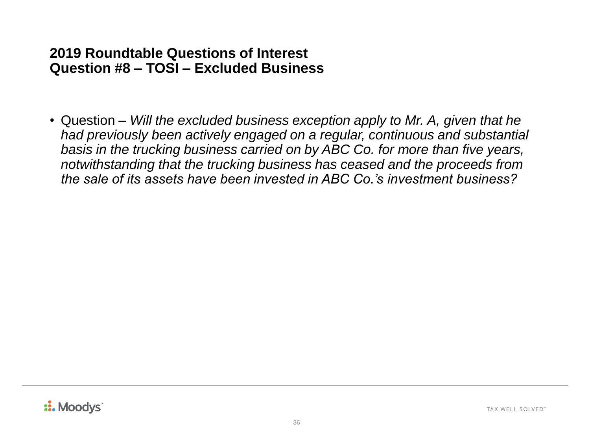• Question – *Will the excluded business exception apply to Mr. A, given that he had previously been actively engaged on a regular, continuous and substantial basis in the trucking business carried on by ABC Co. for more than five years, notwithstanding that the trucking business has ceased and the proceeds from the sale of its assets have been invested in ABC Co.'s investment business?*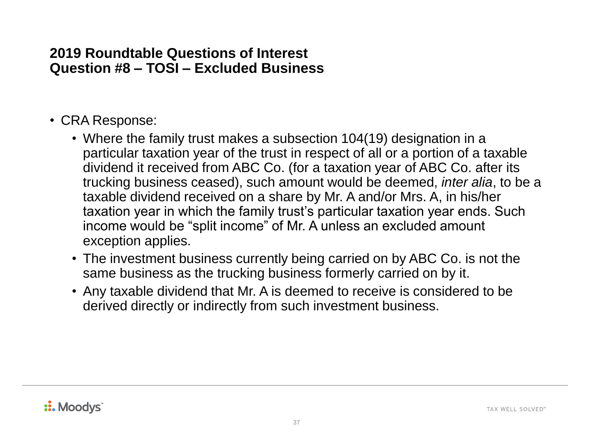- CRA Response:
	- Where the family trust makes a subsection 104(19) designation in a particular taxation year of the trust in respect of all or a portion of a taxable dividend it received from ABC Co. (for a taxation year of ABC Co. after its trucking business ceased), such amount would be deemed, *inter alia*, to be a taxable dividend received on a share by Mr. A and/or Mrs. A, in his/her taxation year in which the family trust's particular taxation year ends. Such income would be "split income" of Mr. A unless an excluded amount exception applies.
	- The investment business currently being carried on by ABC Co. is not the same business as the trucking business formerly carried on by it.
	- Any taxable dividend that Mr. A is deemed to receive is considered to be derived directly or indirectly from such investment business.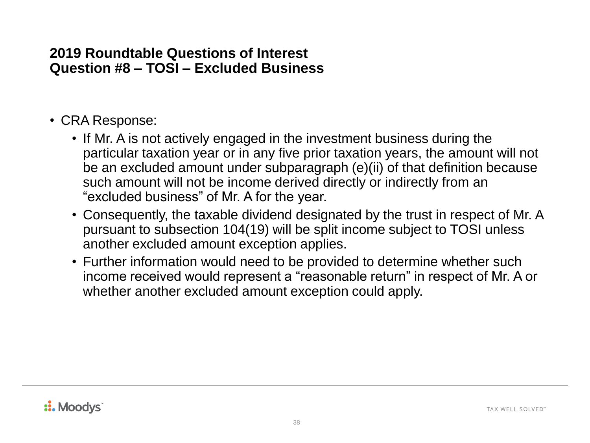- CRA Response:
	- If Mr. A is not actively engaged in the investment business during the particular taxation year or in any five prior taxation years, the amount will not be an excluded amount under subparagraph (e)(ii) of that definition because such amount will not be income derived directly or indirectly from an "excluded business" of Mr. A for the year.
	- Consequently, the taxable dividend designated by the trust in respect of Mr. A pursuant to subsection 104(19) will be split income subject to TOSI unless another excluded amount exception applies.
	- Further information would need to be provided to determine whether such income received would represent a "reasonable return" in respect of Mr. A or whether another excluded amount exception could apply.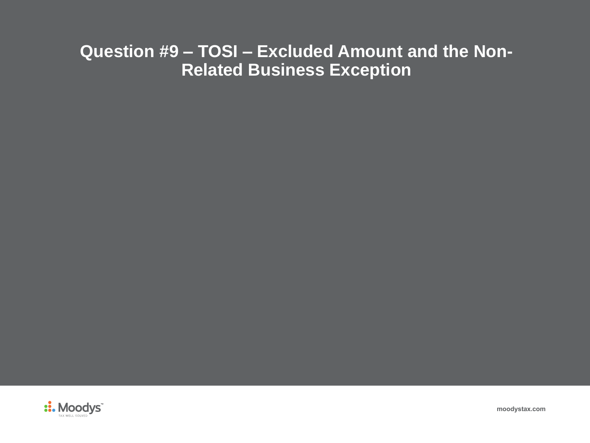## **Question #9 – TOSI – Excluded Amount and the Non-Related Business Exception**



**moodystax.com**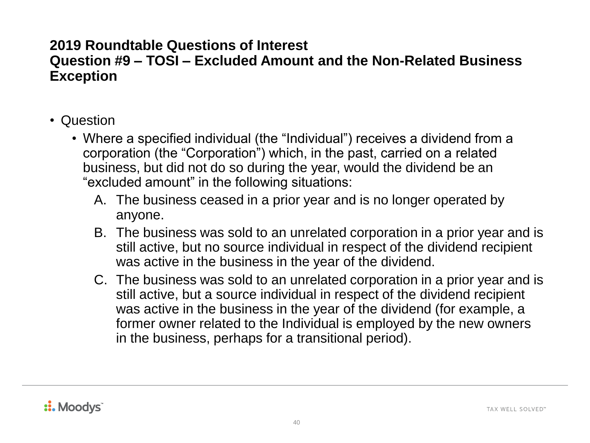#### **Question #9 – TOSI – Excluded Amount and the Non-Related Business Exception**

- Question
	- Where a specified individual (the "Individual") receives a dividend from a corporation (the "Corporation") which, in the past, carried on a related business, but did not do so during the year, would the dividend be an "excluded amount" in the following situations:
		- A. The business ceased in a prior year and is no longer operated by anyone.
		- B. The business was sold to an unrelated corporation in a prior year and is still active, but no source individual in respect of the dividend recipient was active in the business in the year of the dividend.
		- C. The business was sold to an unrelated corporation in a prior year and is still active, but a source individual in respect of the dividend recipient was active in the business in the year of the dividend (for example, a former owner related to the Individual is employed by the new owners in the business, perhaps for a transitional period).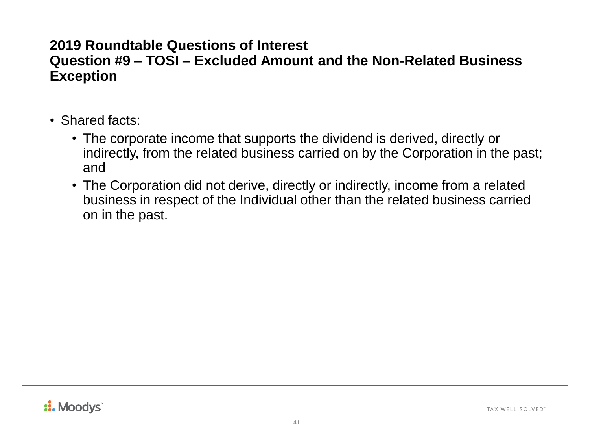#### **Question #9 – TOSI – Excluded Amount and the Non-Related Business Exception**

- Shared facts:
	- The corporate income that supports the dividend is derived, directly or indirectly, from the related business carried on by the Corporation in the past; and
	- The Corporation did not derive, directly or indirectly, income from a related business in respect of the Individual other than the related business carried on in the past.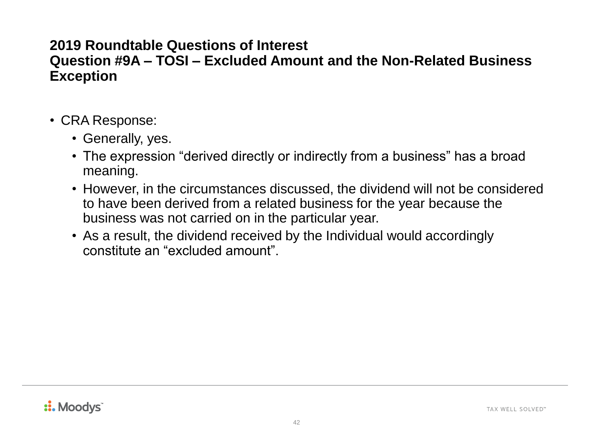#### **Question #9A – TOSI – Excluded Amount and the Non-Related Business Exception**

- CRA Response:
	- Generally, yes.
	- The expression "derived directly or indirectly from a business" has a broad meaning.
	- However, in the circumstances discussed, the dividend will not be considered to have been derived from a related business for the year because the business was not carried on in the particular year.
	- As a result, the dividend received by the Individual would accordingly constitute an "excluded amount".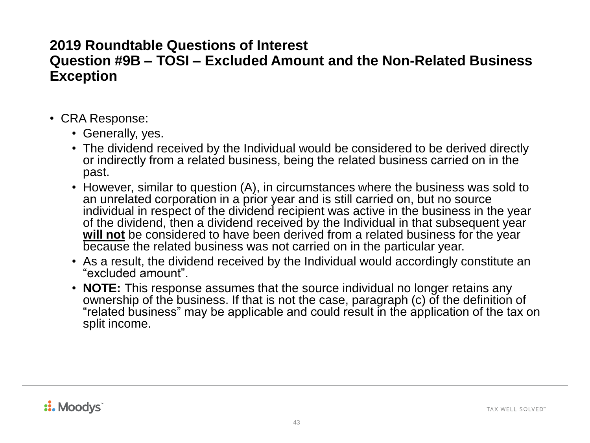#### **Question #9B – TOSI – Excluded Amount and the Non-Related Business Exception**

- CRA Response:
	- Generally, yes.
	- The dividend received by the Individual would be considered to be derived directly or indirectly from a related business, being the related business carried on in the past.
	- However, similar to question (A), in circumstances where the business was sold to an unrelated corporation in a prior year and is still carried on, but no source individual in respect of the dividend recipient was active in the business in the year of the dividend, then a dividend received by the Individual in that subsequent year will not be considered to have been derived from a related business for the year because the related business was not carried on in the particular year.
	- As a result, the dividend received by the Individual would accordingly constitute an "excluded amount".
	- **NOTE:** This response assumes that the source individual no longer retains any ownership of the business. If that is not the case, paragraph (c) of the definition of "related business" may be applicable and could result in the application of the tax on split income.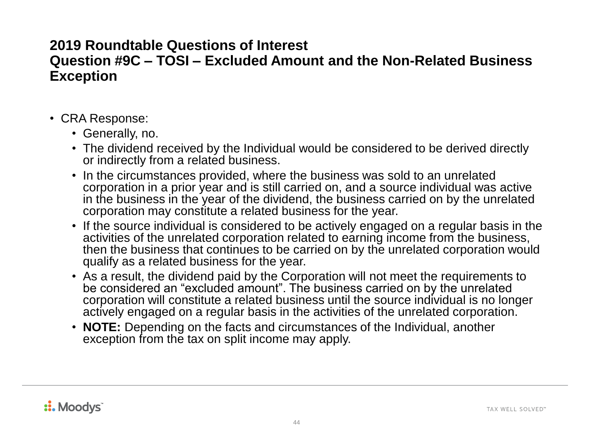#### **Question #9C – TOSI – Excluded Amount and the Non-Related Business Exception**

- CRA Response:
	- Generally, no.
	- The dividend received by the Individual would be considered to be derived directly or indirectly from a related business.
	- In the circumstances provided, where the business was sold to an unrelated corporation in a prior year and is still carried on, and a source individual was active in the business in the year of the dividend, the business carried on by the unrelated corporation may constitute a related business for the year.
	- If the source individual is considered to be actively engaged on a regular basis in the activities of the unrelated corporation related to earning income from the business, then the business that continues to be carried on by the unrelated corporation would qualify as a related business for the year.
	- As a result, the dividend paid by the Corporation will not meet the requirements to be considered an "excluded amount". The business carried on by the unrelated corporation will constitute a related business until the source individual is no longer actively engaged on a regular basis in the activities of the unrelated corporation.
	- **NOTE:** Depending on the facts and circumstances of the Individual, another exception from the tax on split income may apply.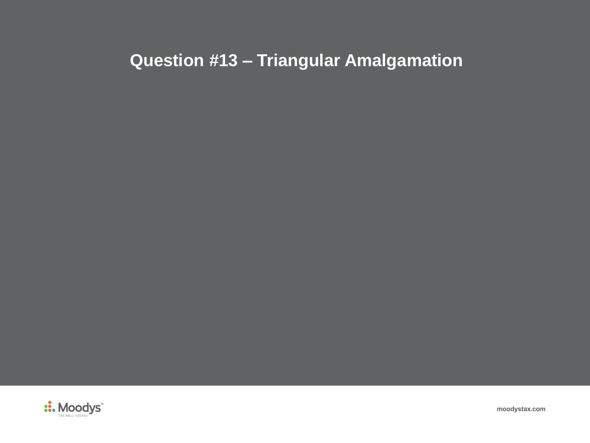# **Question #13 – Triangular Amalgamation**



**moodystax.com**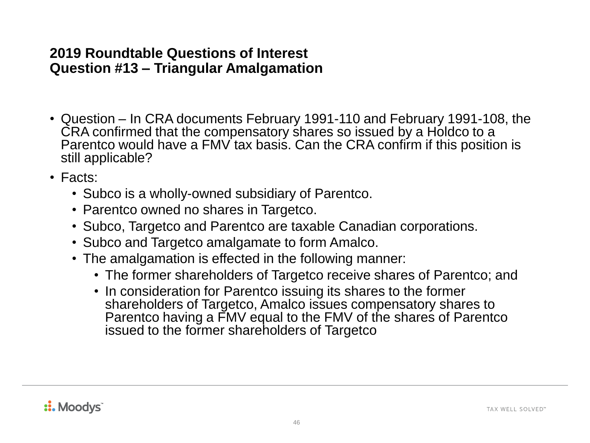- Question In CRA documents February 1991-110 and February 1991-108, the CRA confirmed that the compensatory shares so issued by a Holdco to a Parentco would have a FMV tax basis. Can the CRA confirm if this position is still applicable?
- Facts:
	- Subco is a wholly-owned subsidiary of Parentco.
	- Parentco owned no shares in Targetco.
	- Subco, Targetco and Parentco are taxable Canadian corporations.
	- Subco and Targetco amalgamate to form Amalco.
	- The amalgamation is effected in the following manner:
		- The former shareholders of Targetco receive shares of Parentco; and
		- In consideration for Parentco issuing its shares to the former shareholders of Targetco, Amalco issues compensatory shares to Parentco having a FMV equal to the FMV of the shares of Parentco issued to the former shareholders of Targetco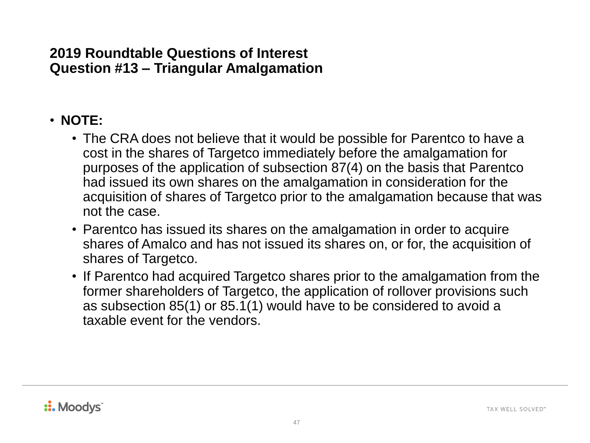### • **NOTE:**

- The CRA does not believe that it would be possible for Parentco to have a cost in the shares of Targetco immediately before the amalgamation for purposes of the application of subsection 87(4) on the basis that Parentco had issued its own shares on the amalgamation in consideration for the acquisition of shares of Targetco prior to the amalgamation because that was not the case.
- Parentco has issued its shares on the amalgamation in order to acquire shares of Amalco and has not issued its shares on, or for, the acquisition of shares of Targetco.
- If Parentco had acquired Targetco shares prior to the amalgamation from the former shareholders of Targetco, the application of rollover provisions such as subsection 85(1) or 85.1(1) would have to be considered to avoid a taxable event for the vendors.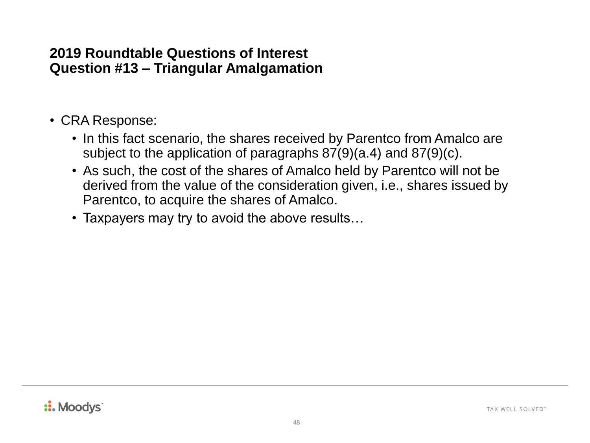- CRA Response:
	- In this fact scenario, the shares received by Parentco from Amalco are subject to the application of paragraphs 87(9)(a.4) and 87(9)(c).
	- As such, the cost of the shares of Amalco held by Parentco will not be derived from the value of the consideration given, i.e., shares issued by Parentco, to acquire the shares of Amalco.
	- Taxpayers may try to avoid the above results…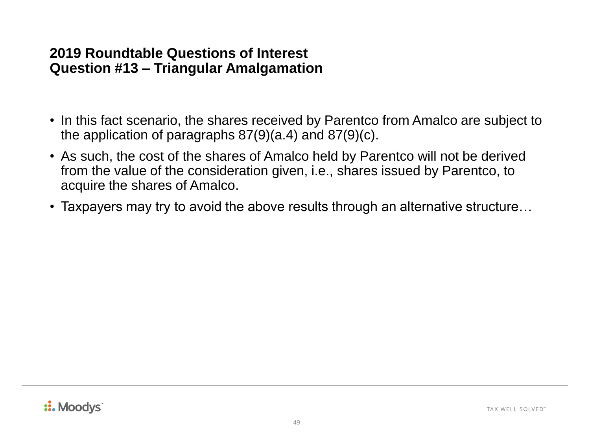- In this fact scenario, the shares received by Parentco from Amalco are subject to the application of paragraphs 87(9)(a.4) and 87(9)(c).
- As such, the cost of the shares of Amalco held by Parentco will not be derived from the value of the consideration given, i.e., shares issued by Parentco, to acquire the shares of Amalco.
- Taxpayers may try to avoid the above results through an alternative structure...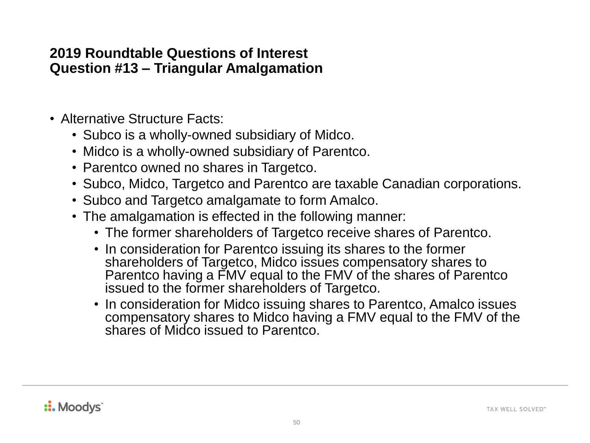- Alternative Structure Facts:
	- Subco is a wholly-owned subsidiary of Midco.
	- Midco is a wholly-owned subsidiary of Parentco.
	- Parentco owned no shares in Targetco.
	- Subco, Midco, Targetco and Parentco are taxable Canadian corporations.
	- Subco and Targetco amalgamate to form Amalco.
	- The amalgamation is effected in the following manner:
		- The former shareholders of Targetco receive shares of Parentco.
		- In consideration for Parentco issuing its shares to the former shareholders of Targetco, Midco issues compensatory shares to Parentco having a FMV equal to the FMV of the shares of Parentco issued to the former shareholders of Targetco.
		- In consideration for Midco issuing shares to Parentco, Amalco issues compensatory shares to Midco having a FMV equal to the FMV of the shares of Midco issued to Parentco.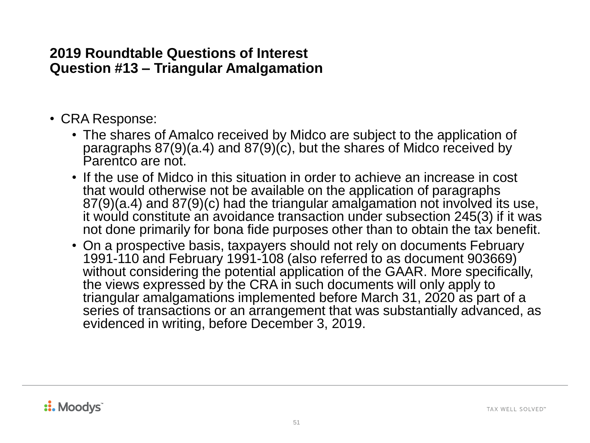- CRA Response:
	- The shares of Amalco received by Midco are subject to the application of paragraphs  $87(9)(a.4)$  and  $87(9)(c)$ , but the shares of Midco received by Parentco are not.
	- If the use of Midco in this situation in order to achieve an increase in cost that would otherwise not be available on the application of paragraphs 87(9)(a.4) and 87(9)(c) had the triangular amalgamation not involved its use, it would constitute an avoidance transaction under subsection 245(3) if it was not done primarily for bona fide purposes other than to obtain the tax benefit.
	- On a prospective basis, taxpayers should not rely on documents February 1991-110 and February 1991-108 (also referred to as document 903669) without considering the potential application of the GAAR. More specifically, the views expressed by the CRA in such documents will only apply to triangular amalgamations implemented before March 31, 2020 as part of a series of transactions or an arrangement that was substantially advanced, as evidenced in writing, before December 3, 2019.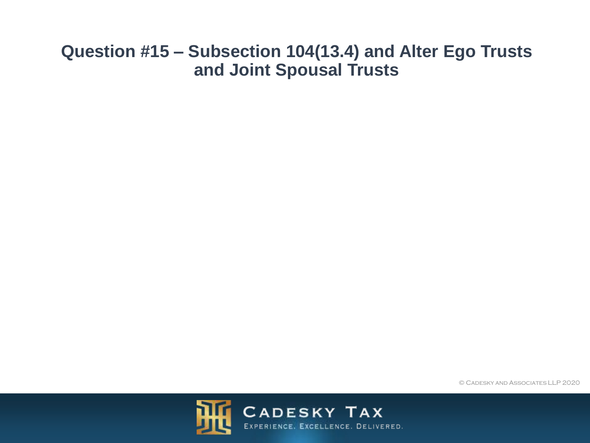### **Question #15 – Subsection 104(13.4) and Alter Ego Trusts and Joint Spousal Trusts**

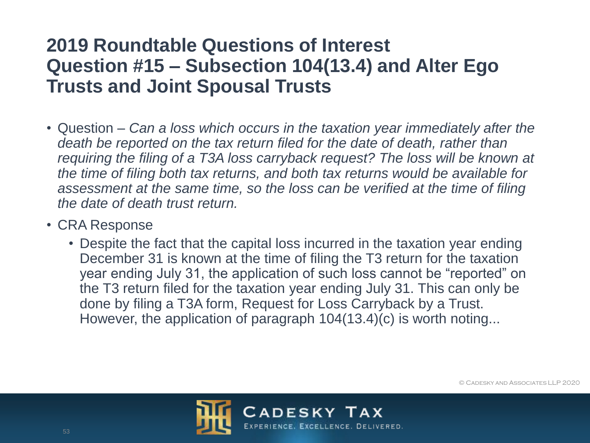# **2019 Roundtable Questions of Interest Question #15 – Subsection 104(13.4) and Alter Ego Trusts and Joint Spousal Trusts**

- Question *Can a loss which occurs in the taxation year immediately after the death be reported on the tax return filed for the date of death, rather than requiring the filing of a T3A loss carryback request? The loss will be known at the time of filing both tax returns, and both tax returns would be available for assessment at the same time, so the loss can be verified at the time of filing the date of death trust return.*
- CRA Response
	- Despite the fact that the capital loss incurred in the taxation year ending December 31 is known at the time of filing the T3 return for the taxation year ending July 31, the application of such loss cannot be "reported" on the T3 return filed for the taxation year ending July 31. This can only be done by filing a T3A form, Request for Loss Carryback by a Trust. However, the application of paragraph 104(13.4)(c) is worth noting...



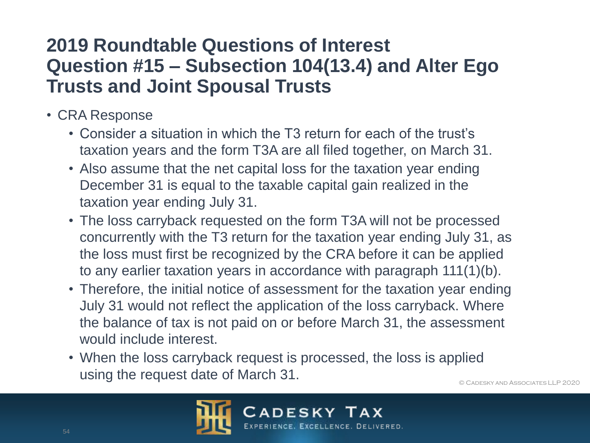# **2019 Roundtable Questions of Interest Question #15 – Subsection 104(13.4) and Alter Ego Trusts and Joint Spousal Trusts**

- CRA Response
	- Consider a situation in which the T3 return for each of the trust's taxation years and the form T3A are all filed together, on March 31.
	- Also assume that the net capital loss for the taxation year ending December 31 is equal to the taxable capital gain realized in the taxation year ending July 31.
	- The loss carryback requested on the form T3A will not be processed concurrently with the T3 return for the taxation year ending July 31, as the loss must first be recognized by the CRA before it can be applied to any earlier taxation years in accordance with paragraph 111(1)(b).
	- Therefore, the initial notice of assessment for the taxation year ending July 31 would not reflect the application of the loss carryback. Where the balance of tax is not paid on or before March 31, the assessment would include interest.
	- When the loss carryback request is processed, the loss is applied using the request date of March 31.

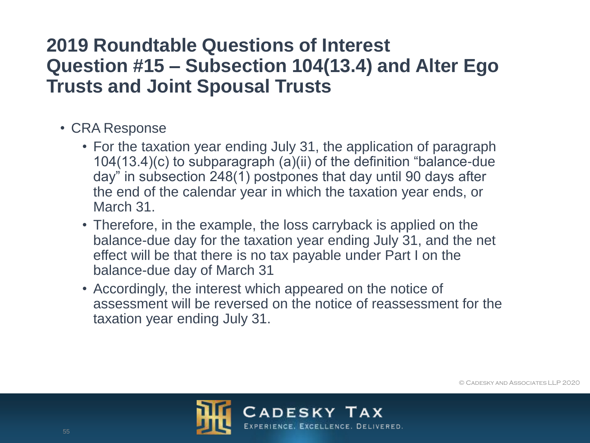# **2019 Roundtable Questions of Interest Question #15 – Subsection 104(13.4) and Alter Ego Trusts and Joint Spousal Trusts**

- CRA Response
	- For the taxation year ending July 31, the application of paragraph 104(13.4)(c) to subparagraph (a)(ii) of the definition "balance-due day" in subsection 248(1) postpones that day until 90 days after the end of the calendar year in which the taxation year ends, or March 31.
	- Therefore, in the example, the loss carryback is applied on the balance-due day for the taxation year ending July 31, and the net effect will be that there is no tax payable under Part I on the balance-due day of March 31
	- Accordingly, the interest which appeared on the notice of assessment will be reversed on the notice of reassessment for the taxation year ending July 31.

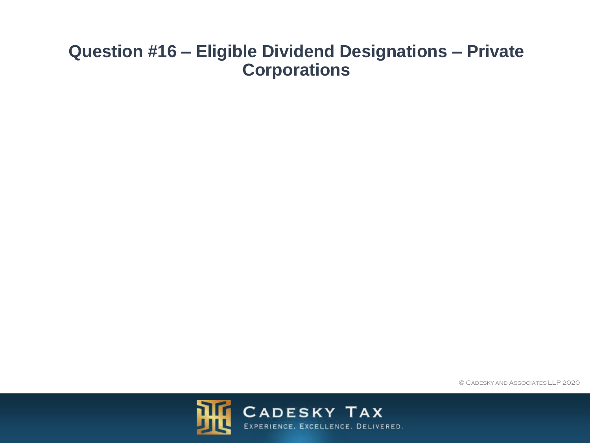### **Question #16 – Eligible Dividend Designations – Private Corporations**